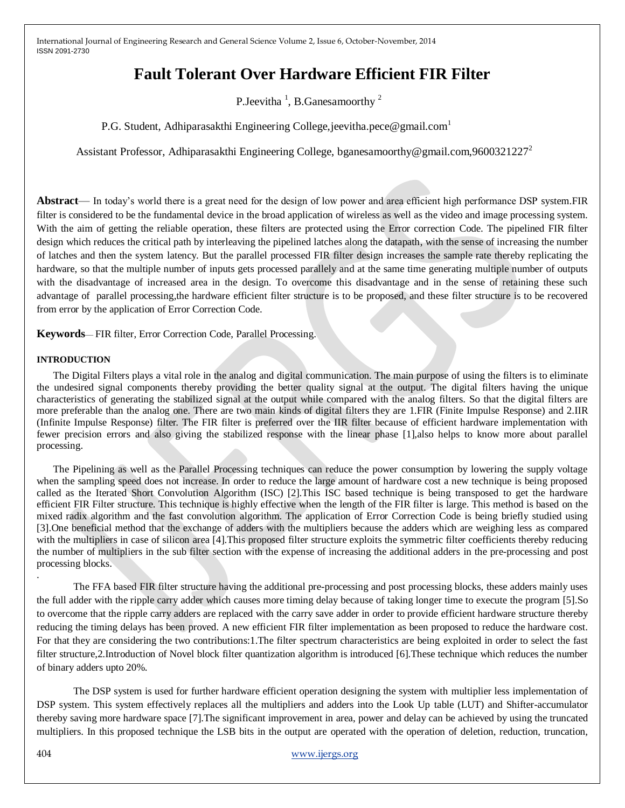# **Fault Tolerant Over Hardware Efficient FIR Filter**

P. Jeevitha <sup>1</sup>, B. Ganesamoorthy <sup>2</sup>

P.G. Student, Adhiparasakthi Engineering College, jeevitha.pece@gmail.com

Assistant Professor, Adhiparasakthi Engineering College, bganesamoorthy@gmail.com,9600321227<sup>2</sup>

**Abstract**— In today's world there is a great need for the design of low power and area efficient high performance DSP system.FIR filter is considered to be the fundamental device in the broad application of wireless as well as the video and image processing system. With the aim of getting the reliable operation, these filters are protected using the Error correction Code. The pipelined FIR filter design which reduces the critical path by interleaving the pipelined latches along the datapath, with the sense of increasing the number of latches and then the system latency. But the parallel processed FIR filter design increases the sample rate thereby replicating the hardware, so that the multiple number of inputs gets processed parallely and at the same time generating multiple number of outputs with the disadvantage of increased area in the design. To overcome this disadvantage and in the sense of retaining these such advantage of parallel processing,the hardware efficient filter structure is to be proposed, and these filter structure is to be recovered from error by the application of Error Correction Code.

**Keywords**— FIR filter, Error Correction Code, Parallel Processing.

#### **INTRODUCTION**

The Digital Filters plays a vital role in the analog and digital communication. The main purpose of using the filters is to eliminate the undesired signal components thereby providing the better quality signal at the output. The digital filters having the unique characteristics of generating the stabilized signal at the output while compared with the analog filters. So that the digital filters are more preferable than the analog one. There are two main kinds of digital filters they are 1.FIR (Finite Impulse Response) and 2.IIR (Infinite Impulse Response) filter. The FIR filter is preferred over the IIR filter because of efficient hardware implementation with fewer precision errors and also giving the stabilized response with the linear phase [1],also helps to know more about parallel processing.

The Pipelining as well as the Parallel Processing techniques can reduce the power consumption by lowering the supply voltage when the sampling speed does not increase. In order to reduce the large amount of hardware cost a new technique is being proposed called as the Iterated Short Convolution Algorithm (ISC) [2].This ISC based technique is being transposed to get the hardware efficient FIR Filter structure. This technique is highly effective when the length of the FIR filter is large. This method is based on the mixed radix algorithm and the fast convolution algorithm. The application of Error Correction Code is being briefly studied using [3].One beneficial method that the exchange of adders with the multipliers because the adders which are weighing less as compared with the multipliers in case of silicon area [4].This proposed filter structure exploits the symmetric filter coefficients thereby reducing the number of multipliers in the sub filter section with the expense of increasing the additional adders in the pre-processing and post processing blocks.

The FFA based FIR filter structure having the additional pre-processing and post processing blocks, these adders mainly uses the full adder with the ripple carry adder which causes more timing delay because of taking longer time to execute the program [5].So to overcome that the ripple carry adders are replaced with the carry save adder in order to provide efficient hardware structure thereby reducing the timing delays has been proved. A new efficient FIR filter implementation as been proposed to reduce the hardware cost. For that they are considering the two contributions:1.The filter spectrum characteristics are being exploited in order to select the fast filter structure,2.Introduction of Novel block filter quantization algorithm is introduced [6].These technique which reduces the number of binary adders upto 20%.

The DSP system is used for further hardware efficient operation designing the system with multiplier less implementation of DSP system. This system effectively replaces all the multipliers and adders into the Look Up table (LUT) and Shifter-accumulator thereby saving more hardware space [7].The significant improvement in area, power and delay can be achieved by using the truncated multipliers. In this proposed technique the LSB bits in the output are operated with the operation of deletion, reduction, truncation,

.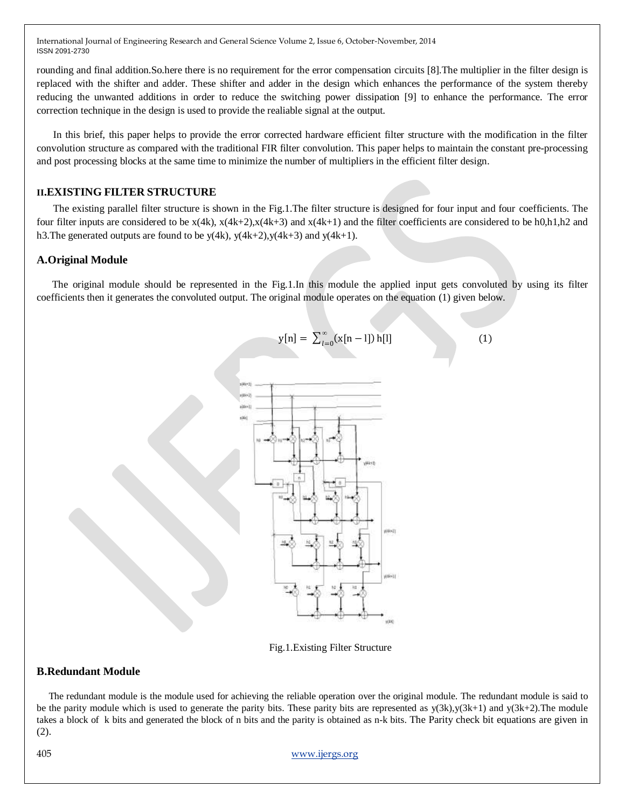rounding and final addition.So.here there is no requirement for the error compensation circuits [8].The multiplier in the filter design is replaced with the shifter and adder. These shifter and adder in the design which enhances the performance of the system thereby reducing the unwanted additions in order to reduce the switching power dissipation [9] to enhance the performance. The error correction technique in the design is used to provide the realiable signal at the output.

In this brief, this paper helps to provide the error corrected hardware efficient filter structure with the modification in the filter convolution structure as compared with the traditional FIR filter convolution. This paper helps to maintain the constant pre-processing and post processing blocks at the same time to minimize the number of multipliers in the efficient filter design.

#### **II.EXISTING FILTER STRUCTURE**

The existing parallel filter structure is shown in the Fig.1.The filter structure is designed for four input and four coefficients. The four filter inputs are considered to be  $x(4k)$ ,  $x(4k+2)$ ,  $x(4k+3)$  and  $x(4k+1)$  and the filter coefficients are considered to be h0,h1,h2 and h3. The generated outputs are found to be  $y(4k)$ ,  $y(4k+2)$ ,  $y(4k+3)$  and  $y(4k+1)$ .

#### **A.Original Module**

 The original module should be represented in the Fig.1.In this module the applied input gets convoluted by using its filter coefficients then it generates the convoluted output. The original module operates on the equation (1) given below.



Fig.1.Existing Filter Structure

#### **B.Redundant Module**

 The redundant module is the module used for achieving the reliable operation over the original module. The redundant module is said to be the parity module which is used to generate the parity bits. These parity bits are represented as  $y(3k)$ ,  $y(3k+1)$  and  $y(3k+2)$ . The module takes a block of k bits and generated the block of n bits and the parity is obtained as n-k bits. The Parity check bit equations are given in (2).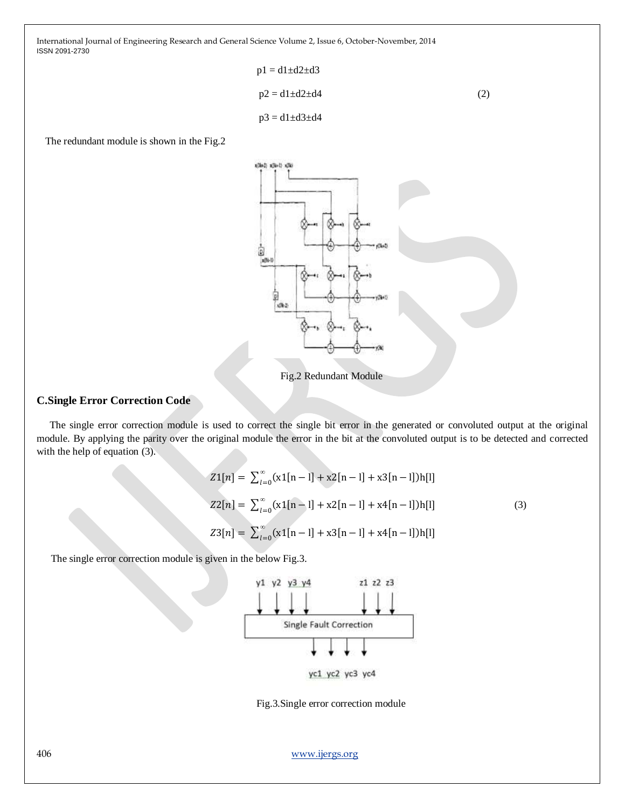$$
p1 = d1 \pm d2 \pm d3
$$
  
\n
$$
p2 = d1 \pm d2 \pm d4
$$
  
\n
$$
p3 = d1 \pm d3 \pm d4
$$
\n(2)

The redundant module is shown in the Fig.2



Fig.2 Redundant Module

## **C.Single Error Correction Code**

 The single error correction module is used to correct the single bit error in the generated or convoluted output at the original module. By applying the parity over the original module the error in the bit at the convoluted output is to be detected and corrected with the help of equation (3).

$$
Z1[n] = \sum_{l=0}^{\infty} (x1[n-l] + x2[n-l] + x3[n-l])h[l]
$$
  
\n
$$
Z2[n] = \sum_{l=0}^{\infty} (x1[n-l] + x2[n-l] + x4[n-l])h[l]
$$
  
\n
$$
Z3[n] = \sum_{l=0}^{\infty} (x1[n-l] + x3[n-l] + x4[n-l])h[l]
$$
  
\n(3)

The single error correction module is given in the below Fig.3.



Fig.3.Single error correction module

406 [www.ijergs.org](http://www.ijergs.org/)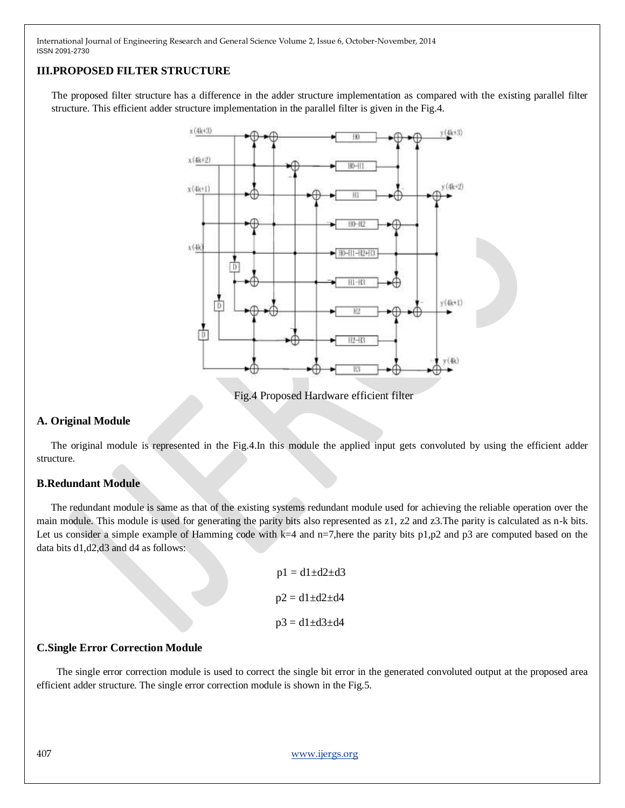# **III.PROPOSED FILTER STRUCTURE**

The proposed filter structure has a difference in the adder structure implementation as compared with the existing parallel filter structure. This efficient adder structure implementation in the parallel filter is given in the Fig.4.



Fig.4 Proposed Hardware efficient filter

## **A. Original Module**

 The original module is represented in the Fig.4.In this module the applied input gets convoluted by using the efficient adder structure.

#### **B.Redundant Module**

 The redundant module is same as that of the existing systems redundant module used for achieving the reliable operation over the main module. This module is used for generating the parity bits also represented as z1, z2 and z3.The parity is calculated as n-k bits. Let us consider a simple example of Hamming code with  $k=4$  and n=7,here the parity bits p1,p2 and p3 are computed based on the data bits d1,d2,d3 and d4 as follows:

| $p1 = d1 \pm d2 \pm d3$ |
|-------------------------|
| $p2 = d1 \pm d2 \pm d4$ |
| $p3 = d1 \pm d3 \pm d4$ |

#### **C.Single Error Correction Module**

 The single error correction module is used to correct the single bit error in the generated convoluted output at the proposed area efficient adder structure. The single error correction module is shown in the Fig.5.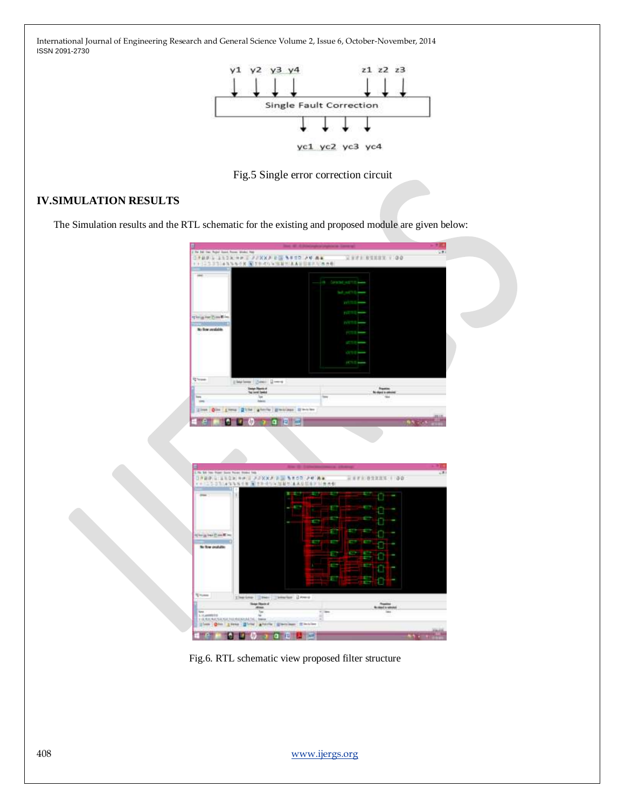

Fig.5 Single error correction circuit

## **IV.SIMULATION RESULTS**

The Simulation results and the RTL schematic for the existing and proposed module are given below:



Fig.6. RTL schematic view proposed filter structure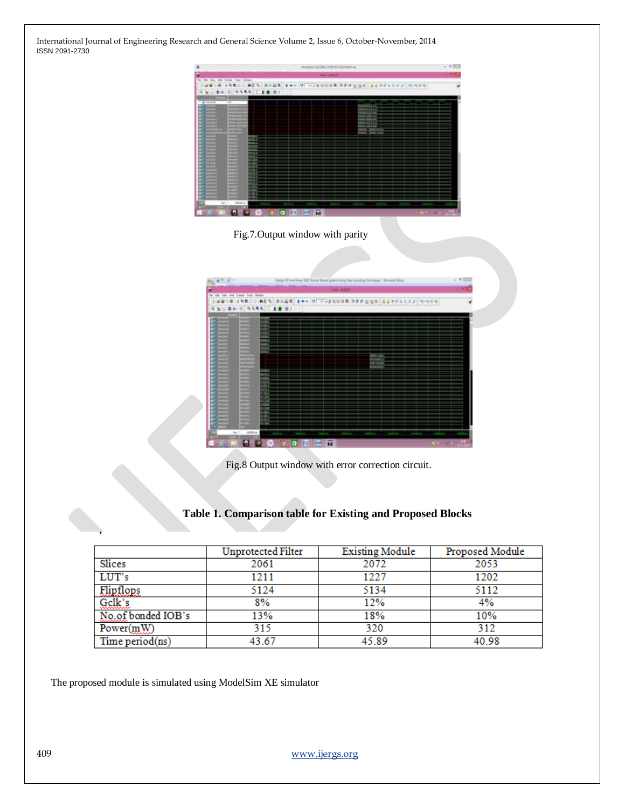| 滋                                                | Mobiles active traitor to how i.e.        |   |  |
|--------------------------------------------------|-------------------------------------------|---|--|
| Ξ                                                | <b>AND ATTNET</b>                         |   |  |
| too you can Autust from seven-<br>$\overline{a}$ | MES BOAR IN MOVEMENT PRESS 24 225527 GOOD |   |  |
| U.D.H. NARR U.L. B.R.<br>FW.                     |                                           | ٠ |  |
|                                                  |                                           |   |  |
| 4.1008.01<br>$\overline{m}$                      |                                           |   |  |
|                                                  |                                           |   |  |
|                                                  |                                           |   |  |
|                                                  |                                           |   |  |
|                                                  |                                           |   |  |
| <b>STATE</b>                                     |                                           |   |  |
| ᄈ                                                |                                           |   |  |
| <br><b>STERN</b><br><b>WITH R</b>                |                                           |   |  |
| 59.90<br>-                                       |                                           |   |  |
| $\bullet$<br>ᇤ                                   |                                           |   |  |
| <b>HOME</b>                                      |                                           |   |  |
| <b>MARKET</b><br>-                               |                                           |   |  |
| <br>⊶                                            |                                           |   |  |
|                                                  |                                           |   |  |
| a.                                               |                                           |   |  |
| $\sim$                                           |                                           |   |  |
| $\bullet$<br>135                                 | $\overline{\mathbf{u}}$                   | × |  |



|                                                                      |                                                                          |     | - - |
|----------------------------------------------------------------------|--------------------------------------------------------------------------|-----|-----|
| Jot two And found from Written                                       |                                                                          |     |     |
| 1604<br>-<br>-<br>⊶<br>₩<br><b>ASPARA</b><br>والأراد<br>曹操<br>驙<br>ᄪ | - 11<br>۰<br>un<br>m<br>ш<br>тm<br>zін<br>181<br>an a<br><b>USK</b><br>m | 天文科 |     |

Fig.8 Output window with error correction circuit.

|  |  |  | Table 1. Comparison table for Existing and Proposed Blocks |  |
|--|--|--|------------------------------------------------------------|--|
|  |  |  |                                                            |  |

|                    | <b>Unprotected Filter</b> | <b>Existing Module</b> | Proposed Module |
|--------------------|---------------------------|------------------------|-----------------|
| Slices             | 2061                      | 2072                   | 2053            |
| LUT's              | 1211                      | 1227                   | 1202            |
| Elipflops          | 5124                      | 5134                   | 5112            |
| Gelk's             | 8%                        | 12%                    | 4%              |
| No.of bonded IOB's | 13%                       | 18%                    | 10%             |
| Power(mW)          | 315                       | 320                    | 312             |
| Time period(ns)    | 43.67                     | 45.89                  | 40.98           |

The proposed module is simulated using ModelSim XE simulator